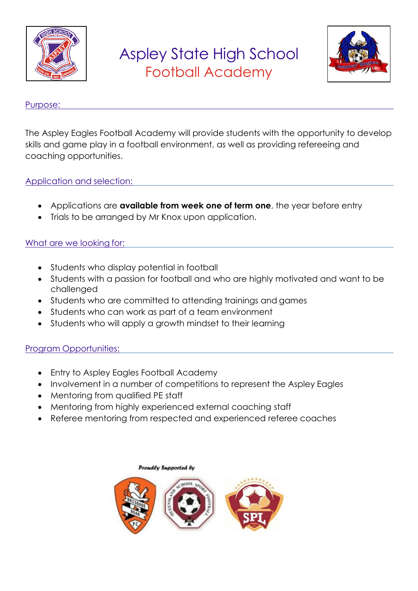

### Aspley State High School Football Academy



#### Purpose:

The Aspley Eagles Football Academy will provide students with the opportunity to develop skills and game play in a football environment, as well as providing refereeing and coaching opportunities.

#### Application and selection:

- Applications are **available from week one of term one**, the year before entry
- Trials to be arranged by Mr Knox upon application.

#### What are we looking for:

- Students who display potential in football
- Students with a passion for football and who are highly motivated and want to be challenged
- Students who are committed to attending trainings and games
- Students who can work as part of a team environment
- Students who will apply a growth mindset to their learning

#### Program Opportunities:

- Entry to Aspley Eagles Football Academy
- Involvement in a number of competitions to represent the Aspley Eagles
- Mentoring from qualified PE staff
- Mentoring from highly experienced external coaching staff
- Referee mentoring from respected and experienced referee coaches

# Proudly Supported by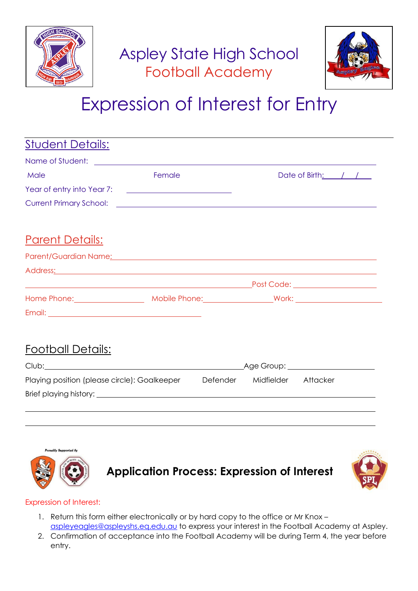



## Expression of Interest for Entry

| <u>Student Details:</u>                                                                                                                                                                                                              |        |  |                     |                      |  |
|--------------------------------------------------------------------------------------------------------------------------------------------------------------------------------------------------------------------------------------|--------|--|---------------------|----------------------|--|
|                                                                                                                                                                                                                                      |        |  |                     |                      |  |
| Male                                                                                                                                                                                                                                 | Female |  |                     | Date of Birth: $/$ / |  |
| Year of entry into Year 7: <u>_________________________</u>                                                                                                                                                                          |        |  |                     |                      |  |
|                                                                                                                                                                                                                                      |        |  |                     |                      |  |
| <u> Parent Details:</u>                                                                                                                                                                                                              |        |  |                     |                      |  |
| Parent/Guardian Name <u>:</u> example and a series of the series of the series of the series of the series of the series of the series of the series of the series of the series of the series of the series of the series of the se |        |  |                     |                      |  |
| Address: 2008 2014 2022 2023 2024 2022 2023 2024 2022 2023 2024 2022 2023 2024 2022 2023 2024 2022 2023 2024 20                                                                                                                      |        |  |                     |                      |  |
|                                                                                                                                                                                                                                      |        |  |                     |                      |  |
| Home Phone: Mobile Phone: Mobile Phone: Mork: 2008)                                                                                                                                                                                  |        |  |                     |                      |  |
|                                                                                                                                                                                                                                      |        |  |                     |                      |  |
| <u> Football Details:</u>                                                                                                                                                                                                            |        |  |                     |                      |  |
|                                                                                                                                                                                                                                      |        |  |                     |                      |  |
| Playing position (please circle): Goalkeeper                                                                                                                                                                                         |        |  | Defender Midfielder | Attacker             |  |



**Application Process: Expression of Interest**



#### Expression of Interest:

- 1. Return this form either electronically or by hard copy to the office or Mr Knox [aspleyeagles@aspleyshs.eq.edu.au](mailto:aspleyeagles@aspleyshs.eq.edu.au) to express your interest in the Football Academy at Aspley.
- 2. Confirmation of acceptance into the Football Academy will be during Term 4, the year before entry.